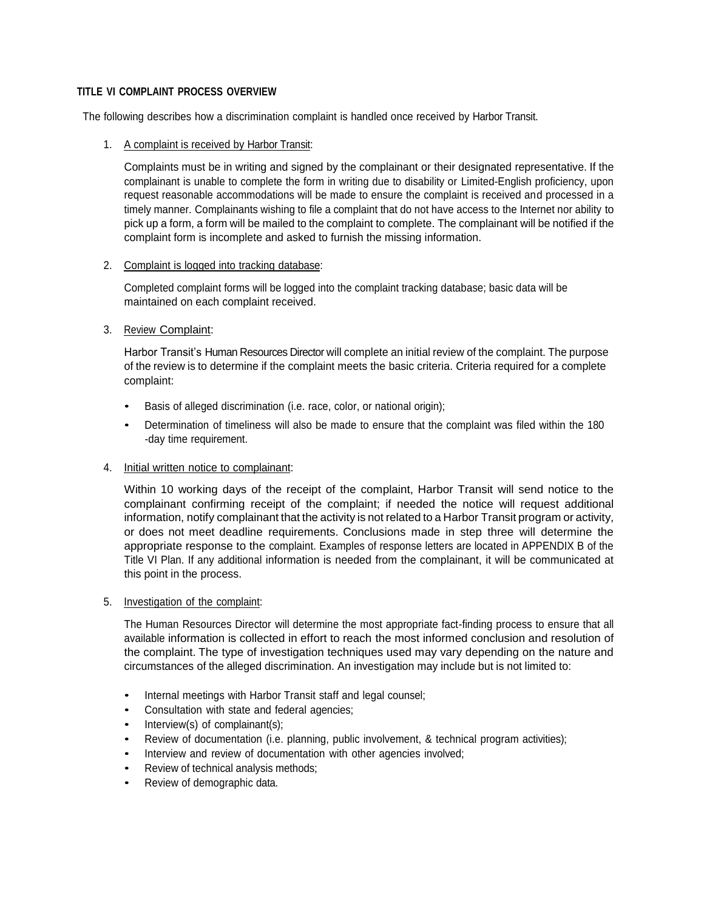# **TITLE VI COMPLAINT PROCESS OVERVIEW**

The following describes how a discrimination complaint is handled once received by Harbor Transit.

1. A complaint is received by Harbor Transit:

Complaints must be in writing and signed by the complainant or their designated representative. If the complainant is unable to complete the form in writing due to disability or Limited-English proficiency, upon request reasonable accommodations will be made to ensure the complaint is received and processed in a timely manner. Complainants wishing to file a complaint that do not have access to the Internet nor ability to pick up a form, a form will be mailed to the complaint to complete. The complainant will be notified if the complaint form is incomplete and asked to furnish the missing information.

#### 2. Complaint is logged into tracking database:

Completed complaint forms will be logged into the complaint tracking database; basic data will be maintained on each complaint received.

### 3. Review Complaint:

Harbor Transit's Human Resources Director will complete an initial review of the complaint. The purpose of the review is to determine if the complaint meets the basic criteria. Criteria required for a complete complaint:

- Basis of alleged discrimination (i.e. race, color, or national origin);
- Determination of timeliness will also be made to ensure that the complaint was filed within the 180 -day time requirement.

### 4. Initial written notice to complainant:

Within 10 working days of the receipt of the complaint, Harbor Transit will send notice to the complainant confirming receipt of the complaint; if needed the notice will request additional information, notify complainant that the activity is not related to a Harbor Transit program or activity, or does not meet deadline requirements. Conclusions made in step three will determine the appropriate response to the complaint. Examples of response letters are located in APPENDIX B of the Title VI Plan. If any additional information is needed from the complainant, it will be communicated at this point in the process.

### 5. Investigation of the complaint:

The Human Resources Director will determine the most appropriate fact-finding process to ensure that all available information is collected in effort to reach the most informed conclusion and resolution of the complaint. The type of investigation techniques used may vary depending on the nature and circumstances of the alleged discrimination. An investigation may include but is not limited to:

- Internal meetings with Harbor Transit staff and legal counsel;
- Consultation with state and federal agencies;
- Interview(s) of complainant(s);
- Review of documentation (i.e. planning, public involvement, & technical program activities);
- Interview and review of documentation with other agencies involved;
- Review of technical analysis methods;
- Review of demographic data.